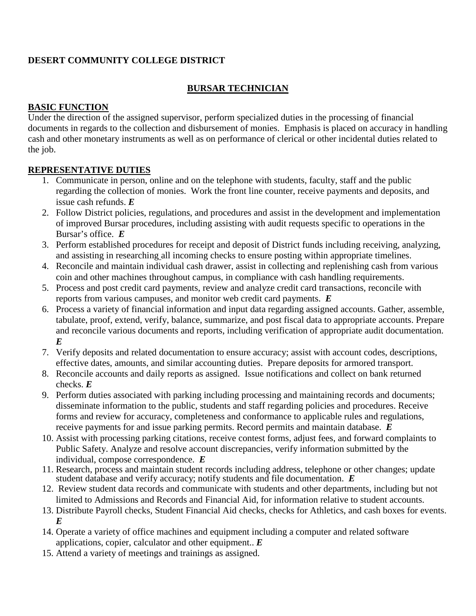## **DESERT COMMUNITY COLLEGE DISTRICT**

### **BURSAR TECHNICIAN**

#### **BASIC FUNCTION**

Under the direction of the assigned supervisor, perform specialized duties in the processing of financial documents in regards to the collection and disbursement of monies. Emphasis is placed on accuracy in handling cash and other monetary instruments as well as on performance of clerical or other incidental duties related to the job.

#### **REPRESENTATIVE DUTIES**

- 1. Communicate in person, online and on the telephone with students, faculty, staff and the public regarding the collection of monies. Work the front line counter, receive payments and deposits, and issue cash refunds. *E*
- 2. Follow District policies, regulations, and procedures and assist in the development and implementation of improved Bursar procedures, including assisting with audit requests specific to operations in the Bursar's office. *E*
- 3. Perform established procedures for receipt and deposit of District funds including receiving, analyzing, and assisting in researching all incoming checks to ensure posting within appropriate timelines.
- 4. Reconcile and maintain individual cash drawer, assist in collecting and replenishing cash from various coin and other machines throughout campus, in compliance with cash handling requirements.
- 5. Process and post credit card payments, review and analyze credit card transactions, reconcile with reports from various campuses, and monitor web credit card payments. *E*
- 6. Process a variety of financial information and input data regarding assigned accounts. Gather, assemble, tabulate, proof, extend, verify, balance, summarize, and post fiscal data to appropriate accounts. Prepare and reconcile various documents and reports, including verification of appropriate audit documentation. *E*
- 7. Verify deposits and related documentation to ensure accuracy; assist with account codes, descriptions, effective dates, amounts, and similar accounting duties. Prepare deposits for armored transport.
- 8. Reconcile accounts and daily reports as assigned. Issue notifications and collect on bank returned checks. *E*
- 9. Perform duties associated with parking including processing and maintaining records and documents; disseminate information to the public, students and staff regarding policies and procedures. Receive forms and review for accuracy, completeness and conformance to applicable rules and regulations, receive payments for and issue parking permits. Record permits and maintain database. *E*
- 10. Assist with processing parking citations, receive contest forms, adjust fees, and forward complaints to Public Safety. Analyze and resolve account discrepancies, verify information submitted by the individual, compose correspondence. *E*
- 11. Research, process and maintain student records including address, telephone or other changes; update student database and verify accuracy; notify students and file documentation. *E*
- 12. Review student data records and communicate with students and other departments, including but not limited to Admissions and Records and Financial Aid, for information relative to student accounts.
- 13. Distribute Payroll checks, Student Financial Aid checks, checks for Athletics, and cash boxes for events. *E*
- 14. Operate a variety of office machines and equipment including a computer and related software applications, copier, calculator and other equipment.. *E*
- 15. Attend a variety of meetings and trainings as assigned.